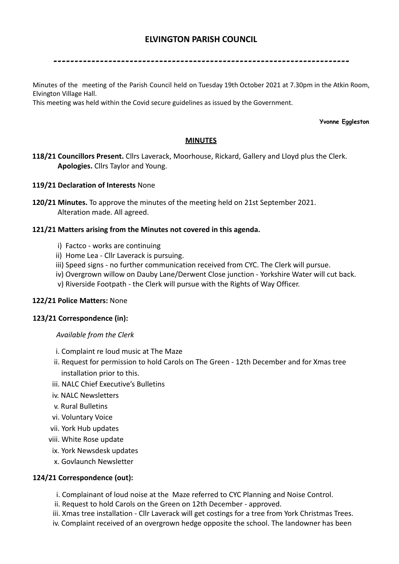# **ELVINGTON PARISH COUNCIL**

----------------------------------------------------------------------

Minutes of the meeting of the Parish Council held on Tuesday 19th October 2021 at 7.30pm in the Atkin Room, Elvington Village Hall.

This meeting was held within the Covid secure guidelines as issued by the Government.

#### **Yvonne Eggleston**

### **MINUTES**

**118/21 Councillors Present.** Cllrs Laverack, Moorhouse, Rickard, Gallery and Lloyd plus the Clerk. **Apologies.** Cllrs Taylor and Young.

#### **119/21 Declaration of Interests** None

**120/21 Minutes.** To approve the minutes of the meeting held on 21st September 2021. Alteration made. All agreed.

#### **121/21 Matters arising from the Minutes not covered in this agenda.**

- i) Factco works are continuing
- ii) Home Lea Cllr Laverack is pursuing.
- iii) Speed signs no further communication received from CYC. The Clerk will pursue.
- iv) Overgrown willow on Dauby Lane/Derwent Close junction Yorkshire Water will cut back.
- v) Riverside Footpath the Clerk will pursue with the Rights of Way Officer.

#### **122/21 Police Matters:** None

#### **123/21 Correspondence (in):**

#### *Available from the Clerk*

- i. Complaint re loud music at The Maze
- ii. Request for permission to hold Carols on The Green 12th December and for Xmas tree installation prior to this.
- iii. NALC Chief Executive's Bulletins
- iv. NALC Newsletters
- v. Rural Bulletins
- vi. Voluntary Voice
- vii. York Hub updates
- viii. White Rose update
- ix. York Newsdesk updates
- x. Govlaunch Newsletter

#### **124/21 Correspondence (out):**

- i. Complainant of loud noise at the Maze referred to CYC Planning and Noise Control.
- ii. Request to hold Carols on the Green on 12th December approved.
- iii. Xmas tree installation Cllr Laverack will get costings for a tree from York Christmas Trees.
- iv. Complaint received of an overgrown hedge opposite the school. The landowner has been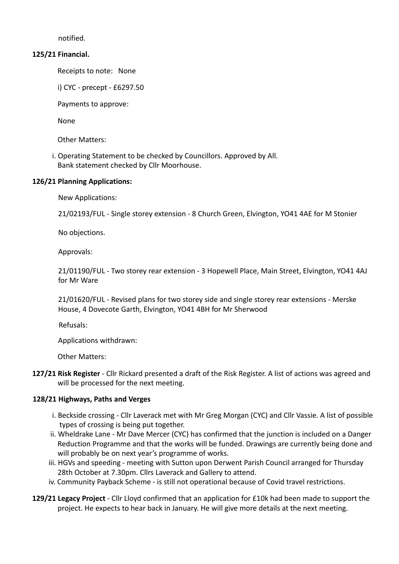notified.

### **125/21 Financial.**

Receipts to note: None

i) CYC - precept - £6297.50

Payments to approve:

None

Other Matters:

i. Operating Statement to be checked by Councillors. Approved by All. Bank statement checked by Cllr Moorhouse.

## **126/21 Planning Applications:**

New Applications:

21/02193/FUL - Single storey extension - 8 Church Green, Elvington, YO41 4AE for M Stonier

No objections.

Approvals:

21/01190/FUL - Two storey rear extension - 3 Hopewell Place, Main Street, Elvington, YO41 4AJ for Mr Ware

21/01620/FUL - Revised plans for two storey side and single storey rear extensions - Merske House, 4 Dovecote Garth, Elvington, YO41 4BH for Mr Sherwood

Refusals:

Applications withdrawn:

Other Matters:

**127/21 Risk Register** - Cllr Rickard presented a draft of the Risk Register. A list of actions was agreed and will be processed for the next meeting.

## **128/21 Highways, Paths and Verges**

- i. Beckside crossing Cllr Laverack met with Mr Greg Morgan (CYC) and Cllr Vassie. A list of possible types of crossing is being put together.
- ii. Wheldrake Lane Mr Dave Mercer (CYC) has confirmed that the junction is included on a Danger Reduction Programme and that the works will be funded. Drawings are currently being done and will probably be on next year's programme of works.
- iii. HGVs and speeding meeting with Sutton upon Derwent Parish Council arranged for Thursday 28th October at 7.30pm. Cllrs Laverack and Gallery to attend.
- iv. Community Payback Scheme is still not operational because of Covid travel restrictions.
- **129/21 Legacy Project** Cllr Lloyd confirmed that an application for £10k had been made to support the project. He expects to hear back in January. He will give more details at the next meeting.